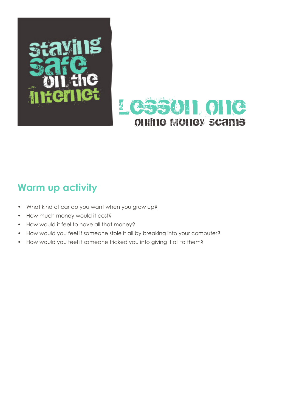



### **Warm up activity**

- What kind of car do you want when you grow up?
- How much money would it cost?
- How would it feel to have all that money?
- How would you feel if someone stole it all by breaking into your computer?
- How would you feel if someone tricked you into giving it all to them?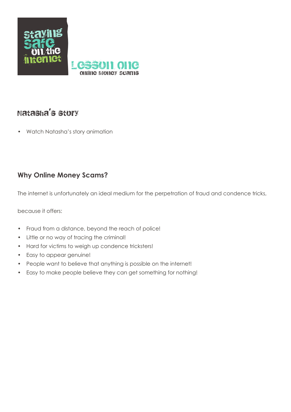

### Natasha's story

• Watch Natasha's story animation

#### **Why Online Money Scams?**

The internet is unfortunately an ideal medium for the perpetration of fraud and condence tricks,

because it offers:

- Fraud from a distance, beyond the reach of police!
- • Little or no way of tracing the criminal!
- Hard for victims to weigh up condence tricksters!
- Easy to appear genuine!
- People want to believe that anything is possible on the internet!
- • Easy to make people believe they can get something for nothing!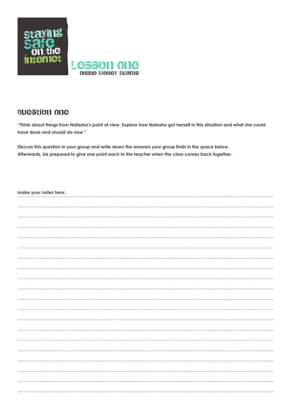

#### QUCStion One

"Think about things from Natasha's point of view. Explore how Natasha got herself in this situation and what she could have done and should do now."

Discuss this question in your group and write down the answers your group finds in the space below. Afterwards, be prepared to give one point each to the teacher when the class comes back together.

| make your notes here: |  |
|-----------------------|--|
|                       |  |
|                       |  |
|                       |  |
|                       |  |
|                       |  |
|                       |  |
|                       |  |
|                       |  |
|                       |  |
|                       |  |
|                       |  |
|                       |  |
|                       |  |
|                       |  |
|                       |  |
|                       |  |
|                       |  |
|                       |  |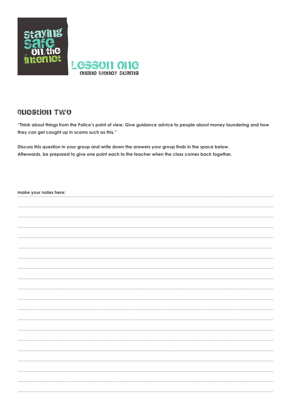

#### QUCStION TWO

"Think about things from the Police's point of view. Give guidance advice to people about money laundering and how they can get caught up in scams such as this."

Discuss this question in your group and write down the answers your group finds in the space below. Afterwards, be prepared to give one point each to the teacher when the class comes back together.

| make your notes here: |
|-----------------------|
|                       |
|                       |
|                       |
|                       |
|                       |
|                       |
|                       |
|                       |
|                       |
|                       |
|                       |
|                       |
|                       |
|                       |
|                       |
|                       |
|                       |
|                       |
|                       |
|                       |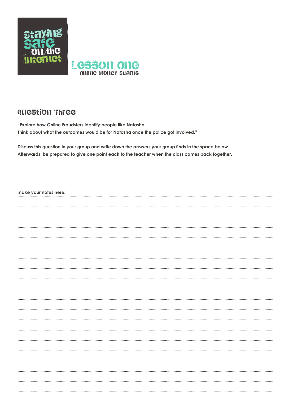

#### QUEStion Three

"Explore how Online Fraudsters identify people like Natasha. Think about what the outcomes would be for Natasha once the police got involved."

Discuss this question in your group and write down the answers your group finds in the space below. Afterwards, be prepared to give one point each to the teacher when the class comes back together.

| make your notes here: |
|-----------------------|
|                       |
|                       |
|                       |
|                       |
|                       |
|                       |
|                       |
|                       |
|                       |
|                       |
|                       |
|                       |
|                       |
|                       |
|                       |
|                       |
|                       |
|                       |
|                       |
|                       |